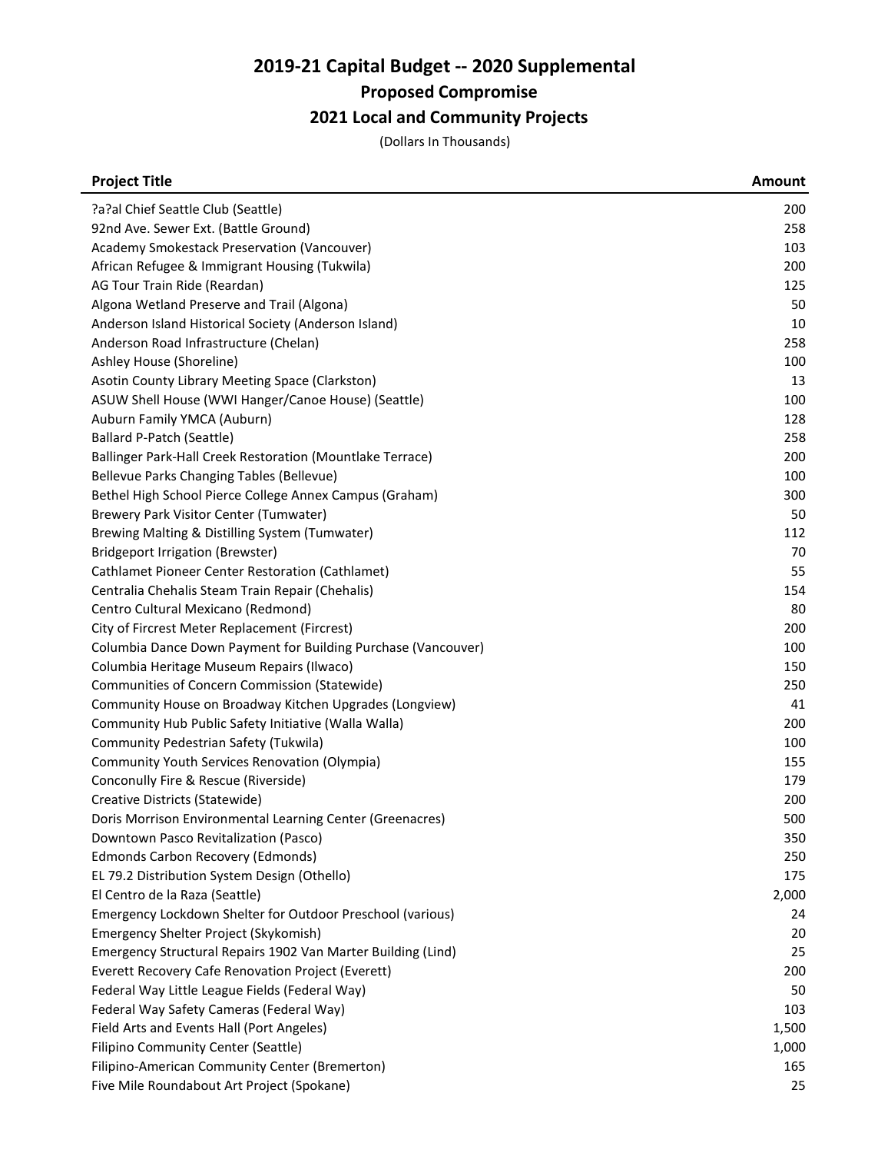# 2019-21 Capital Budget -- 2020 Supplemental

Proposed Compromise

# 2021 Local and Community Projects

(Dollars In Thousands)

| <b>Project Title</b>                                          | Amount |
|---------------------------------------------------------------|--------|
| ?a?al Chief Seattle Club (Seattle)                            | 200    |
| 92nd Ave. Sewer Ext. (Battle Ground)                          | 258    |
| Academy Smokestack Preservation (Vancouver)                   | 103    |
| African Refugee & Immigrant Housing (Tukwila)                 | 200    |
| AG Tour Train Ride (Reardan)                                  | 125    |
| Algona Wetland Preserve and Trail (Algona)                    | 50     |
| Anderson Island Historical Society (Anderson Island)          | 10     |
| Anderson Road Infrastructure (Chelan)                         | 258    |
| Ashley House (Shoreline)                                      | 100    |
| Asotin County Library Meeting Space (Clarkston)               | 13     |
| ASUW Shell House (WWI Hanger/Canoe House) (Seattle)           | 100    |
| Auburn Family YMCA (Auburn)                                   | 128    |
| Ballard P-Patch (Seattle)                                     | 258    |
| Ballinger Park-Hall Creek Restoration (Mountlake Terrace)     | 200    |
| Bellevue Parks Changing Tables (Bellevue)                     | 100    |
| Bethel High School Pierce College Annex Campus (Graham)       | 300    |
| Brewery Park Visitor Center (Tumwater)                        | 50     |
| Brewing Malting & Distilling System (Tumwater)                | 112    |
| <b>Bridgeport Irrigation (Brewster)</b>                       | 70     |
| Cathlamet Pioneer Center Restoration (Cathlamet)              | 55     |
| Centralia Chehalis Steam Train Repair (Chehalis)              | 154    |
| Centro Cultural Mexicano (Redmond)                            | 80     |
| City of Fircrest Meter Replacement (Fircrest)                 | 200    |
| Columbia Dance Down Payment for Building Purchase (Vancouver) | 100    |
| Columbia Heritage Museum Repairs (Ilwaco)                     | 150    |
| Communities of Concern Commission (Statewide)                 | 250    |
| Community House on Broadway Kitchen Upgrades (Longview)       | 41     |
| Community Hub Public Safety Initiative (Walla Walla)          | 200    |
| Community Pedestrian Safety (Tukwila)                         | 100    |
| Community Youth Services Renovation (Olympia)                 | 155    |
| Conconully Fire & Rescue (Riverside)                          | 179    |
| Creative Districts (Statewide)                                | 200    |
| Doris Morrison Environmental Learning Center (Greenacres)     | 500    |
| Downtown Pasco Revitalization (Pasco)                         | 350    |
| <b>Edmonds Carbon Recovery (Edmonds)</b>                      | 250    |
| EL 79.2 Distribution System Design (Othello)                  | 175    |
| El Centro de la Raza (Seattle)                                | 2,000  |
| Emergency Lockdown Shelter for Outdoor Preschool (various)    | 24     |
| Emergency Shelter Project (Skykomish)                         | 20     |
| Emergency Structural Repairs 1902 Van Marter Building (Lind)  | 25     |
| Everett Recovery Cafe Renovation Project (Everett)            | 200    |
| Federal Way Little League Fields (Federal Way)                | 50     |
| Federal Way Safety Cameras (Federal Way)                      | 103    |
| Field Arts and Events Hall (Port Angeles)                     | 1,500  |
| Filipino Community Center (Seattle)                           | 1,000  |
| Filipino-American Community Center (Bremerton)                | 165    |
| Five Mile Roundabout Art Project (Spokane)                    | 25     |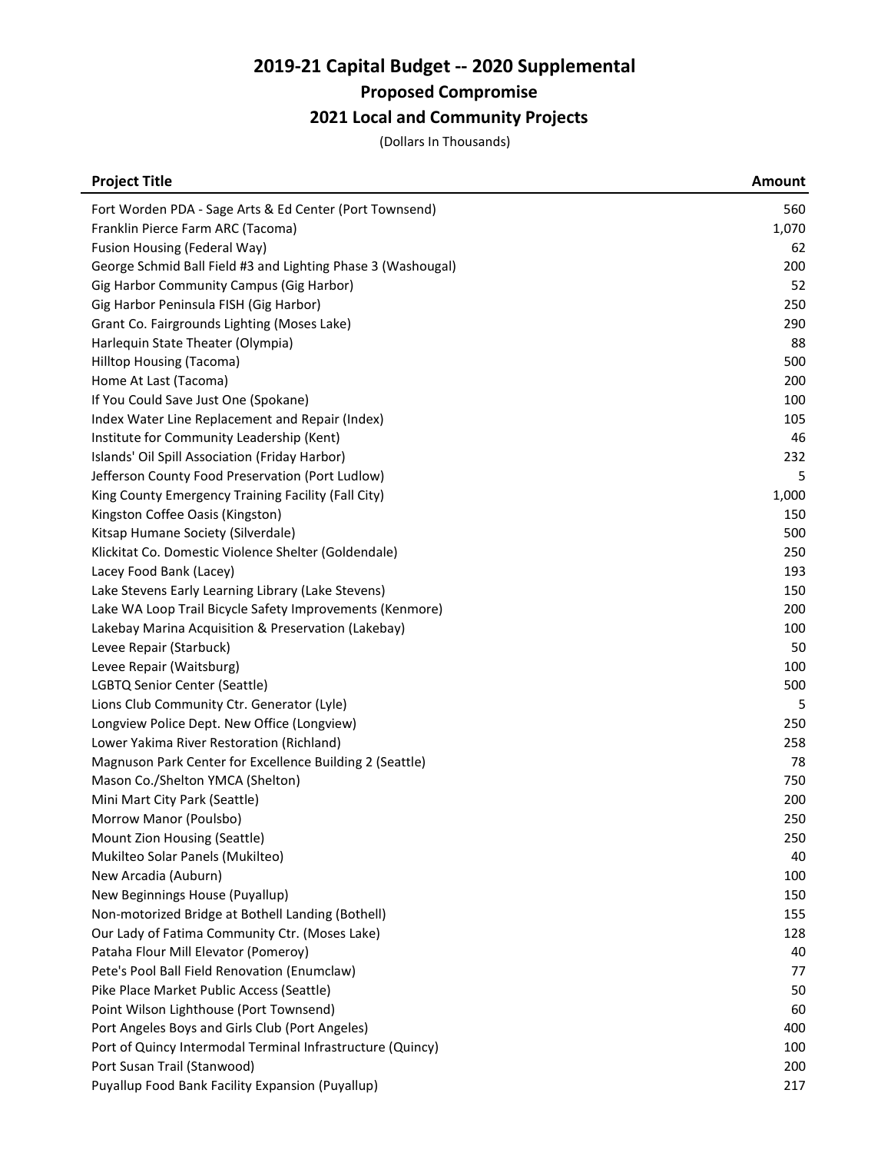# 2019-21 Capital Budget -- 2020 Supplemental

Proposed Compromise

# 2021 Local and Community Projects

(Dollars In Thousands)

| <b>Project Title</b>                                         | <b>Amount</b> |
|--------------------------------------------------------------|---------------|
| Fort Worden PDA - Sage Arts & Ed Center (Port Townsend)      | 560           |
| Franklin Pierce Farm ARC (Tacoma)                            | 1,070         |
| Fusion Housing (Federal Way)                                 | 62            |
| George Schmid Ball Field #3 and Lighting Phase 3 (Washougal) | 200           |
| Gig Harbor Community Campus (Gig Harbor)                     | 52            |
| Gig Harbor Peninsula FISH (Gig Harbor)                       | 250           |
| Grant Co. Fairgrounds Lighting (Moses Lake)                  | 290           |
| Harlequin State Theater (Olympia)                            | 88            |
| Hilltop Housing (Tacoma)                                     | 500           |
| Home At Last (Tacoma)                                        | 200           |
| If You Could Save Just One (Spokane)                         | 100           |
| Index Water Line Replacement and Repair (Index)              | 105           |
| Institute for Community Leadership (Kent)                    | 46            |
| Islands' Oil Spill Association (Friday Harbor)               | 232           |
| Jefferson County Food Preservation (Port Ludlow)             | 5             |
| King County Emergency Training Facility (Fall City)          | 1,000         |
| Kingston Coffee Oasis (Kingston)                             | 150           |
| Kitsap Humane Society (Silverdale)                           | 500           |
| Klickitat Co. Domestic Violence Shelter (Goldendale)         | 250           |
| Lacey Food Bank (Lacey)                                      | 193           |
| Lake Stevens Early Learning Library (Lake Stevens)           | 150           |
| Lake WA Loop Trail Bicycle Safety Improvements (Kenmore)     | 200           |
| Lakebay Marina Acquisition & Preservation (Lakebay)          | 100           |
| Levee Repair (Starbuck)                                      | 50            |
| Levee Repair (Waitsburg)                                     | 100           |
| LGBTQ Senior Center (Seattle)                                | 500           |
| Lions Club Community Ctr. Generator (Lyle)                   | 5             |
| Longview Police Dept. New Office (Longview)                  | 250           |
| Lower Yakima River Restoration (Richland)                    | 258           |
| Magnuson Park Center for Excellence Building 2 (Seattle)     | 78            |
| Mason Co./Shelton YMCA (Shelton)                             | 750           |
| Mini Mart City Park (Seattle)                                | 200           |
| Morrow Manor (Poulsbo)                                       | 250           |
| Mount Zion Housing (Seattle)                                 | 250           |
| Mukilteo Solar Panels (Mukilteo)                             | 40            |
| New Arcadia (Auburn)                                         | 100           |
| New Beginnings House (Puyallup)                              | 150           |
| Non-motorized Bridge at Bothell Landing (Bothell)            | 155           |
| Our Lady of Fatima Community Ctr. (Moses Lake)               | 128           |
| Pataha Flour Mill Elevator (Pomeroy)                         | 40            |
| Pete's Pool Ball Field Renovation (Enumclaw)                 | 77            |
| Pike Place Market Public Access (Seattle)                    | 50            |
| Point Wilson Lighthouse (Port Townsend)                      | 60            |
| Port Angeles Boys and Girls Club (Port Angeles)              | 400           |
| Port of Quincy Intermodal Terminal Infrastructure (Quincy)   | 100           |
| Port Susan Trail (Stanwood)                                  | 200           |
| Puyallup Food Bank Facility Expansion (Puyallup)             | 217           |